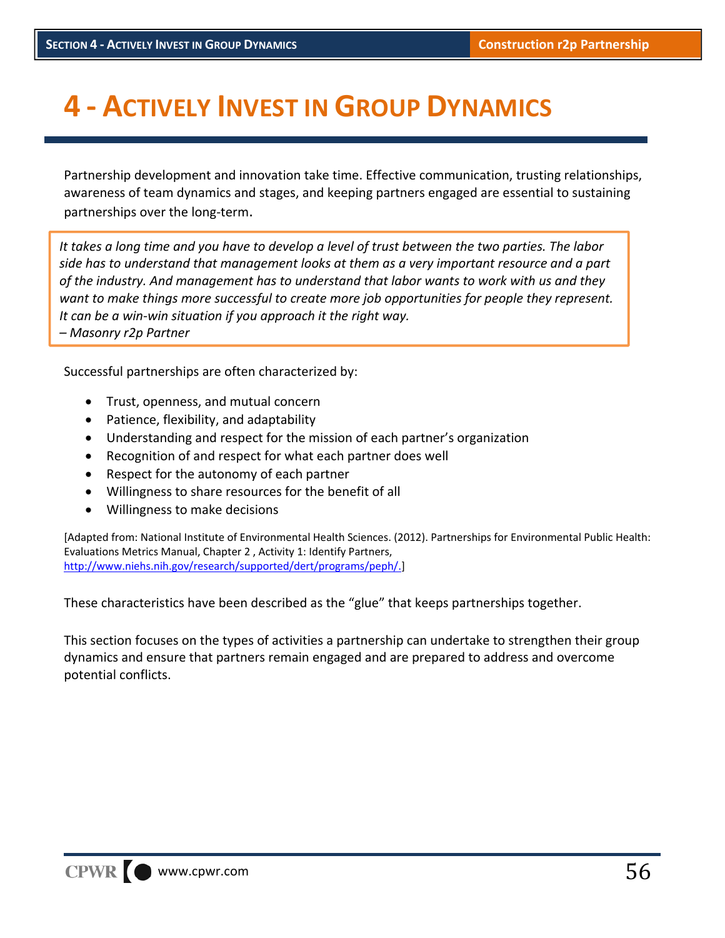# **4 ‐ ACTIVELY INVEST IN GROUP DYNAMICS**

Partnership development and innovation take time. Effective communication, trusting relationships, awareness of team dynamics and stages, and keeping partners engaged are essential to sustaining partnerships over the long‐term.

It takes a long time and you have to develop a level of trust between the two parties. The labor *side has to understand that management looks at them as a very important resource and a part of the industry. And management has to understand that labor wants to work with us and they want to make things more successful to create more job opportunities for people they represent. It can be a win‐win situation if you approach it the right way.*

*– Masonry r2p Partner*

Successful partnerships are often characterized by:

- Trust, openness, and mutual concern
- Patience, flexibility, and adaptability
- Understanding and respect for the mission of each partner's organization
- Recognition of and respect for what each partner does well
- Respect for the autonomy of each partner
- Willingness to share resources for the benefit of all
- Willingness to make decisions

[Adapted from: National Institute of Environmental Health Sciences. (2012). Partnerships for Environmental Public Health: Evaluations Metrics Manual, Chapter 2 , Activity 1: Identify Partners, http://www.niehs.nih.gov/research/supported/dert/programs/peph/.]

These characteristics have been described as the "glue" that keeps partnerships together.

This section focuses on the types of activities a partnership can undertake to strengthen their group dynamics and ensure that partners remain engaged and are prepared to address and overcome potential conflicts.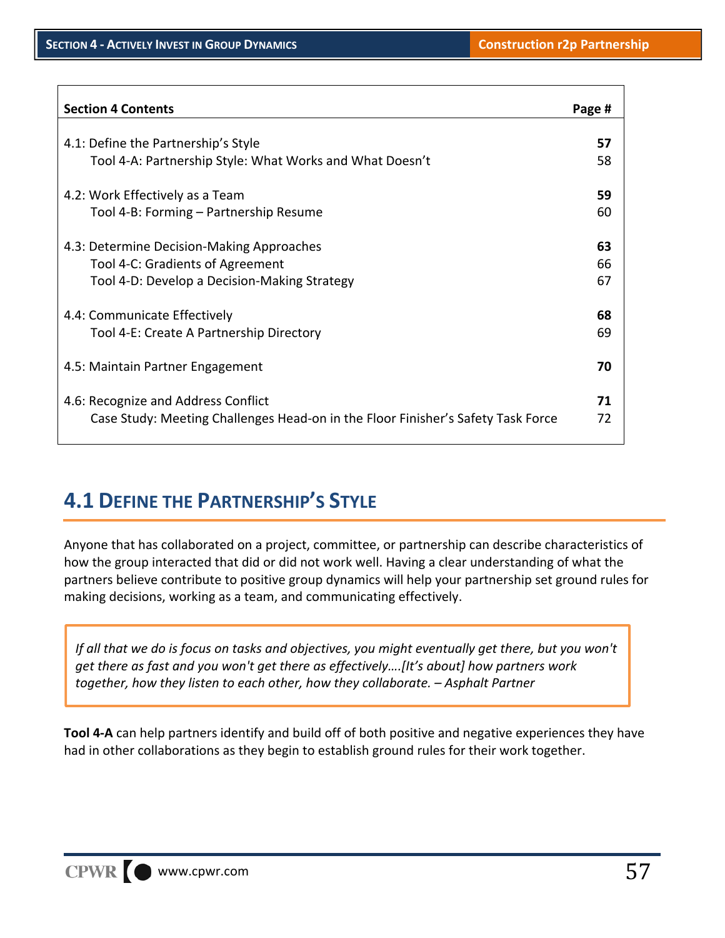٦

| <b>Section 4 Contents</b>                                                        | Page # |
|----------------------------------------------------------------------------------|--------|
|                                                                                  |        |
| 4.1: Define the Partnership's Style                                              | 57     |
| Tool 4-A: Partnership Style: What Works and What Doesn't                         | 58     |
| 4.2: Work Effectively as a Team                                                  | 59     |
| Tool 4-B: Forming - Partnership Resume                                           | 60     |
|                                                                                  |        |
| 4.3: Determine Decision-Making Approaches                                        | 63     |
| Tool 4-C: Gradients of Agreement                                                 | 66     |
| Tool 4-D: Develop a Decision-Making Strategy                                     | 67     |
|                                                                                  |        |
| 4.4: Communicate Effectively                                                     | 68     |
| Tool 4-E: Create A Partnership Directory                                         | 69     |
|                                                                                  |        |
| 4.5: Maintain Partner Engagement                                                 | 70     |
|                                                                                  |        |
| 4.6: Recognize and Address Conflict                                              | 71     |
| Case Study: Meeting Challenges Head-on in the Floor Finisher's Safety Task Force | 72     |
|                                                                                  |        |

# **4.1 DEFINE THE PARTNERSHIP'S STYLE**

Anyone that has collaborated on a project, committee, or partnership can describe characteristics of how the group interacted that did or did not work well. Having a clear understanding of what the partners believe contribute to positive group dynamics will help your partnership set ground rules for making decisions, working as a team, and communicating effectively.

If all that we do is focus on tasks and objectives, you might eventually get there, but you won't *get there as fast and you won't get there as effectively….[It's about] how partners work together, how they listen to each other, how they collaborate. – Asphalt Partner*

**Tool 4‐A** can help partners identify and build off of both positive and negative experiences they have had in other collaborations as they begin to establish ground rules for their work together.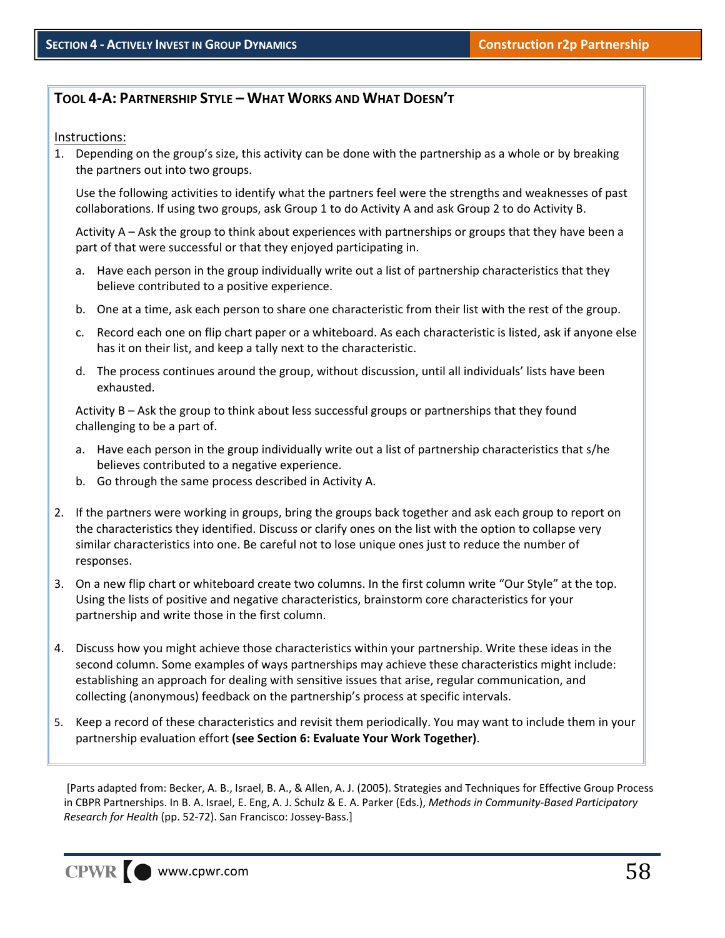#### **TOOL 4‐A: PARTNERSHIP STYLE – WHAT WORKS AND WHAT DOESN'T**

#### Instructions:

1. Depending on the group's size, this activity can be done with the partnership as a whole or by breaking the partners out into two groups.

Use the following activities to identify what the partners feel were the strengths and weaknesses of past collaborations. If using two groups, ask Group 1 to do Activity A and ask Group 2 to do Activity B.

Activity A – Ask the group to think about experiences with partnerships or groups that they have been a part of that were successful or that they enjoyed participating in.

- a. Have each person in the group individually write out a list of partnership characteristics that they believe contributed to a positive experience.
- b. One at a time, ask each person to share one characteristic from their list with the rest of the group.
- c. Record each one on flip chart paper or a whiteboard. As each characteristic is listed, ask if anyone else has it on their list, and keep a tally next to the characteristic.
- d. The process continues around the group, without discussion, until all individuals' lists have been exhausted.

Activity B – Ask the group to think about less successful groups or partnerships that they found challenging to be a part of.

- a. Have each person in the group individually write out a list of partnership characteristics that s/he believes contributed to a negative experience.
- b. Go through the same process described in Activity A.
- 2. If the partners were working in groups, bring the groups back together and ask each group to report on the characteristics they identified. Discuss or clarify ones on the list with the option to collapse very similar characteristics into one. Be careful not to lose unique ones just to reduce the number of responses.
- 3. On a new flip chart or whiteboard create two columns. In the first column write "Our Style" at the top. Using the lists of positive and negative characteristics, brainstorm core characteristics for your partnership and write those in the first column.
- 4. Discuss how you might achieve those characteristics within your partnership. Write these ideas in the second column. Some examples of ways partnerships may achieve these characteristics might include: establishing an approach for dealing with sensitive issues that arise, regular communication, and collecting (anonymous) feedback on the partnership's process at specific intervals.
- 5. Keep a record of these characteristics and revisit them periodically. You may want to include them in your partnership evaluation effort **(see Section 6: Evaluate Your Work Together)**.

[Parts adapted from: Becker, A. B., Israel, B. A., & Allen, A. J. (2005). Strategies and Techniques for Effective Group Process in CBPR Partnerships. In B. A. Israel, E. Eng, A. J. Schulz & E. A. Parker (Eds.), *Methods in Community‐Based Participatory Research for Health* (pp. 52‐72). San Francisco: Jossey‐Bass.]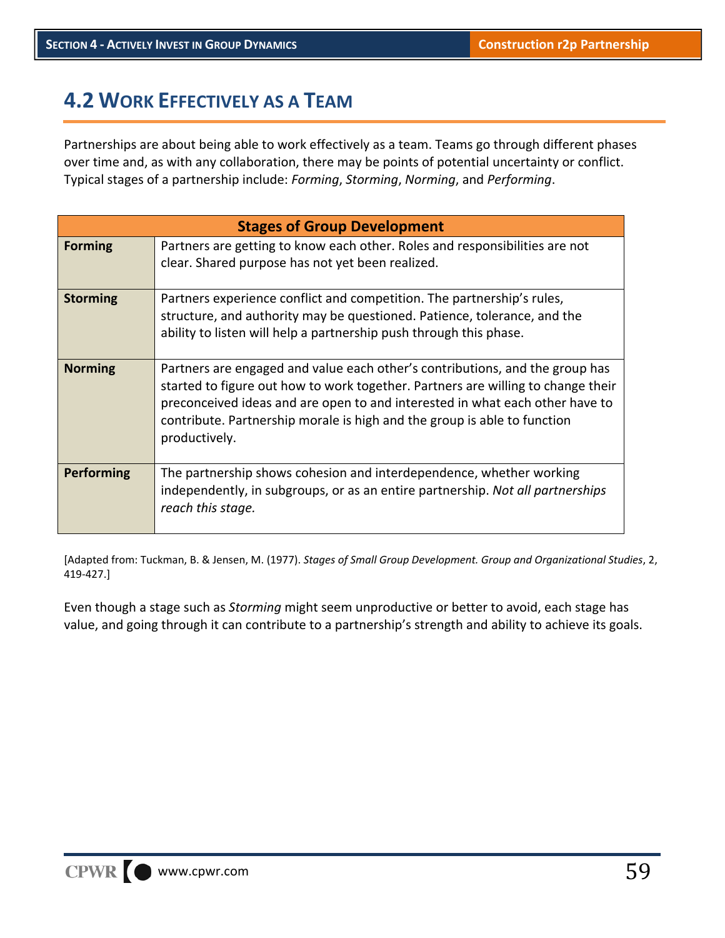# **4.2 WORK EFFECTIVELY AS A TEAM**

Partnerships are about being able to work effectively as a team. Teams go through different phases over time and, as with any collaboration, there may be points of potential uncertainty or conflict. Typical stages of a partnership include: *Forming*, *Storming*, *Norming*, and *Performing*.

| <b>Stages of Group Development</b> |                                                                                                                                                                                                                                                                                                                                               |  |  |  |
|------------------------------------|-----------------------------------------------------------------------------------------------------------------------------------------------------------------------------------------------------------------------------------------------------------------------------------------------------------------------------------------------|--|--|--|
| <b>Forming</b>                     | Partners are getting to know each other. Roles and responsibilities are not<br>clear. Shared purpose has not yet been realized.                                                                                                                                                                                                               |  |  |  |
| <b>Storming</b>                    | Partners experience conflict and competition. The partnership's rules,<br>structure, and authority may be questioned. Patience, tolerance, and the<br>ability to listen will help a partnership push through this phase.                                                                                                                      |  |  |  |
| <b>Norming</b>                     | Partners are engaged and value each other's contributions, and the group has<br>started to figure out how to work together. Partners are willing to change their<br>preconceived ideas and are open to and interested in what each other have to<br>contribute. Partnership morale is high and the group is able to function<br>productively. |  |  |  |
| <b>Performing</b>                  | The partnership shows cohesion and interdependence, whether working<br>independently, in subgroups, or as an entire partnership. Not all partnerships<br>reach this stage.                                                                                                                                                                    |  |  |  |

[Adapted from: Tuckman, B. & Jensen, M. (1977). *Stages of Small Group Development. Group and Organizational Studies*, 2, 419‐427.]

Even though a stage such as *Storming* might seem unproductive or better to avoid, each stage has value, and going through it can contribute to a partnership's strength and ability to achieve its goals.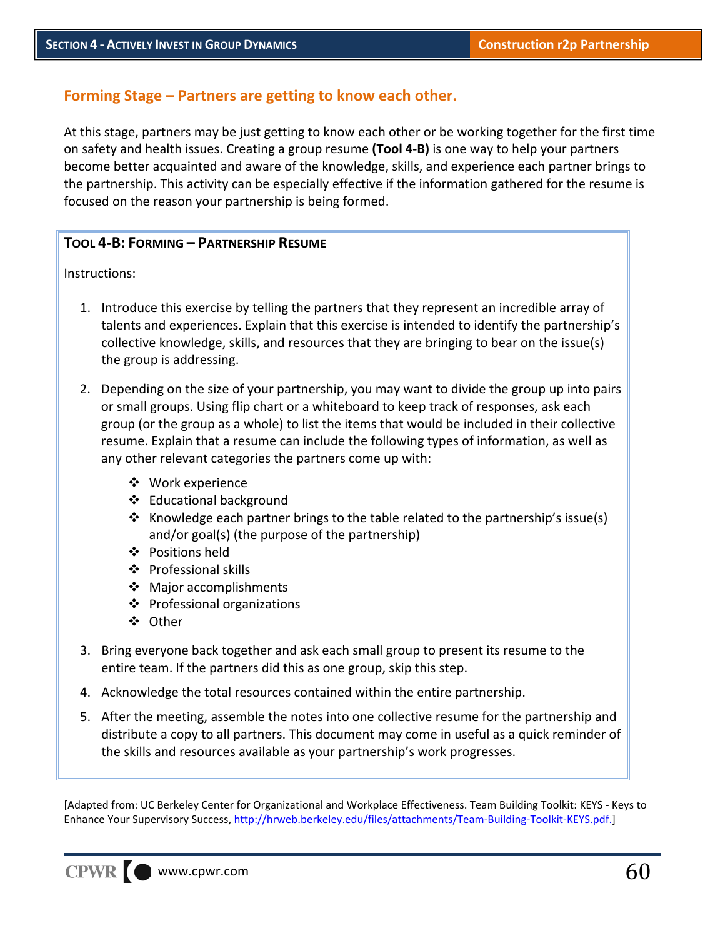### **Forming Stage – Partners are getting to know each other.**

At this stage, partners may be just getting to know each other or be working together for the first time on safety and health issues. Creating a group resume **(Tool 4‐B)** is one way to help your partners become better acquainted and aware of the knowledge, skills, and experience each partner brings to the partnership. This activity can be especially effective if the information gathered for the resume is focused on the reason your partnership is being formed.

#### **TOOL 4‐B: FORMING – PARTNERSHIP RESUME**

Instructions:

- 1. Introduce this exercise by telling the partners that they represent an incredible array of talents and experiences. Explain that this exercise is intended to identify the partnership's collective knowledge, skills, and resources that they are bringing to bear on the issue(s) the group is addressing.
- 2. Depending on the size of your partnership, you may want to divide the group up into pairs or small groups. Using flip chart or a whiteboard to keep track of responses, ask each group (or the group as a whole) to list the items that would be included in their collective resume. Explain that a resume can include the following types of information, as well as any other relevant categories the partners come up with:
	- Work experience
	- ❖ Educational background
	- $\div$  Knowledge each partner brings to the table related to the partnership's issue(s) and/or goal(s) (the purpose of the partnership)
	- ❖ Positions held
	- ❖ Professional skills
	- ❖ Major accomplishments
	- ❖ Professional organizations
	- ❖ Other
- 3. Bring everyone back together and ask each small group to present its resume to the entire team. If the partners did this as one group, skip this step.
- 4. Acknowledge the total resources contained within the entire partnership.
- 5. After the meeting, assemble the notes into one collective resume for the partnership and distribute a copy to all partners. This document may come in useful as a quick reminder of the skills and resources available as your partnership's work progresses.

[Adapted from: UC Berkeley Center for Organizational and Workplace Effectiveness. Team Building Toolkit: KEYS ‐ Keys to Enhance Your Supervisory Success, http://hrweb.berkeley.edu/files/attachments/Team-Building-Toolkit-KEYS.pdf.]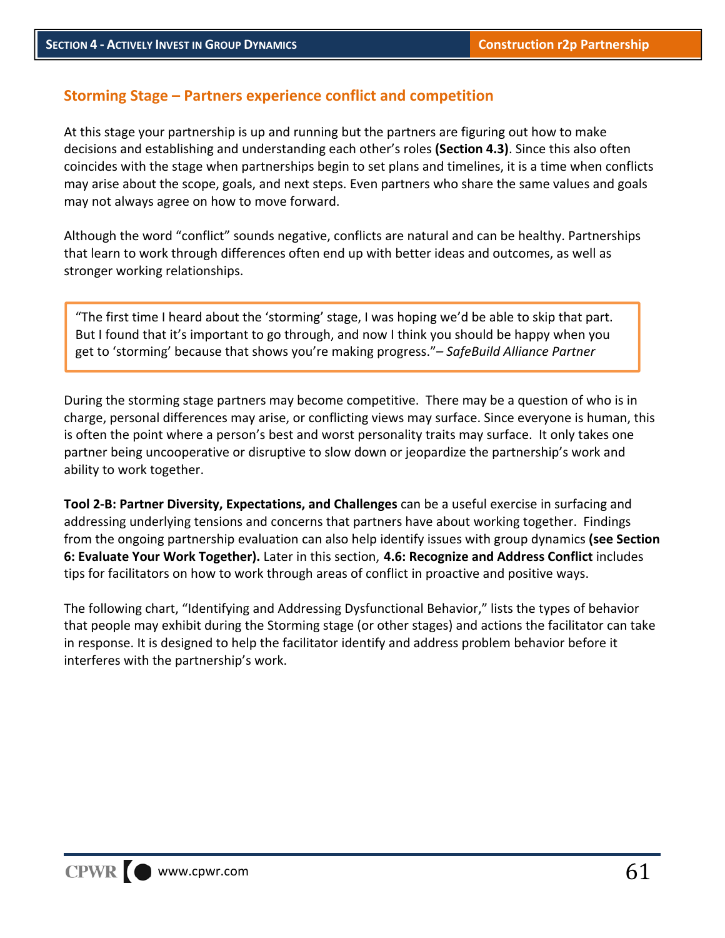### **Storming Stage – Partners experience conflict and competition**

At this stage your partnership is up and running but the partners are figuring out how to make decisions and establishing and understanding each other's roles **(Section 4.3)**. Since this also often coincides with the stage when partnerships begin to set plans and timelines, it is a time when conflicts may arise about the scope, goals, and next steps. Even partners who share the same values and goals may not always agree on how to move forward.

Although the word "conflict" sounds negative, conflicts are natural and can be healthy. Partnerships that learn to work through differences often end up with better ideas and outcomes, as well as stronger working relationships.

"The first time I heard about the 'storming' stage, I was hoping we'd be able to skip that part. But I found that it's important to go through, and now I think you should be happy when you get to 'storming' because that shows you're making progress."*– SafeBuild Alliance Partner*

During the storming stage partners may become competitive. There may be a question of who is in charge, personal differences may arise, or conflicting views may surface. Since everyone is human, this is often the point where a person's best and worst personality traits may surface. It only takes one partner being uncooperative or disruptive to slow down or jeopardize the partnership's work and ability to work together.

**Tool 2‐B: Partner Diversity, Expectations, and Challenges** can be a useful exercise in surfacing and addressing underlying tensions and concerns that partners have about working together. Findings from the ongoing partnership evaluation can also help identify issues with group dynamics **(see Section 6: Evaluate Your Work Together).** Later in this section, **4.6: Recognize and Address Conflict** includes tips for facilitators on how to work through areas of conflict in proactive and positive ways.

The following chart, "Identifying and Addressing Dysfunctional Behavior," lists the types of behavior that people may exhibit during the Storming stage (or other stages) and actions the facilitator can take in response. It is designed to help the facilitator identify and address problem behavior before it interferes with the partnership's work.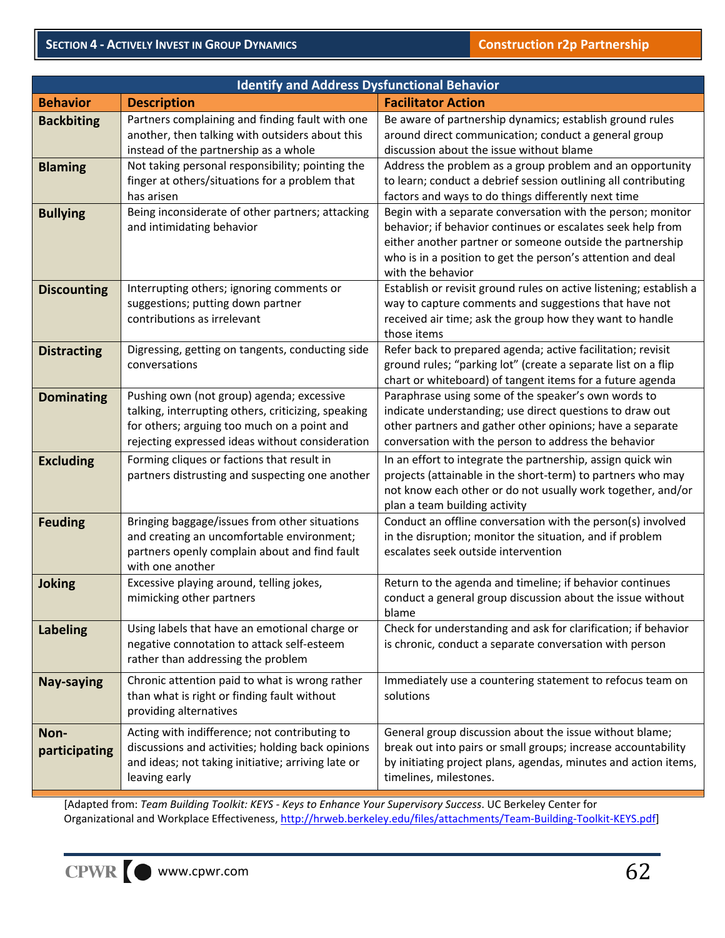| <b>Identify and Address Dysfunctional Behavior</b> |                                                                                                                                                                                                    |                                                                                                                                                                                                                                                                             |  |  |
|----------------------------------------------------|----------------------------------------------------------------------------------------------------------------------------------------------------------------------------------------------------|-----------------------------------------------------------------------------------------------------------------------------------------------------------------------------------------------------------------------------------------------------------------------------|--|--|
| <b>Behavior</b>                                    | <b>Description</b>                                                                                                                                                                                 | <b>Facilitator Action</b>                                                                                                                                                                                                                                                   |  |  |
| <b>Backbiting</b>                                  | Partners complaining and finding fault with one<br>another, then talking with outsiders about this<br>instead of the partnership as a whole                                                        | Be aware of partnership dynamics; establish ground rules<br>around direct communication; conduct a general group<br>discussion about the issue without blame                                                                                                                |  |  |
| <b>Blaming</b>                                     | Not taking personal responsibility; pointing the<br>finger at others/situations for a problem that<br>has arisen                                                                                   | Address the problem as a group problem and an opportunity<br>to learn; conduct a debrief session outlining all contributing<br>factors and ways to do things differently next time                                                                                          |  |  |
| <b>Bullying</b>                                    | Being inconsiderate of other partners; attacking<br>and intimidating behavior                                                                                                                      | Begin with a separate conversation with the person; monitor<br>behavior; if behavior continues or escalates seek help from<br>either another partner or someone outside the partnership<br>who is in a position to get the person's attention and deal<br>with the behavior |  |  |
| <b>Discounting</b>                                 | Interrupting others; ignoring comments or<br>suggestions; putting down partner<br>contributions as irrelevant                                                                                      | Establish or revisit ground rules on active listening; establish a<br>way to capture comments and suggestions that have not<br>received air time; ask the group how they want to handle<br>those items                                                                      |  |  |
| <b>Distracting</b>                                 | Digressing, getting on tangents, conducting side<br>conversations                                                                                                                                  | Refer back to prepared agenda; active facilitation; revisit<br>ground rules; "parking lot" (create a separate list on a flip<br>chart or whiteboard) of tangent items for a future agenda                                                                                   |  |  |
| <b>Dominating</b>                                  | Pushing own (not group) agenda; excessive<br>talking, interrupting others, criticizing, speaking<br>for others; arguing too much on a point and<br>rejecting expressed ideas without consideration | Paraphrase using some of the speaker's own words to<br>indicate understanding; use direct questions to draw out<br>other partners and gather other opinions; have a separate<br>conversation with the person to address the behavior                                        |  |  |
| <b>Excluding</b>                                   | Forming cliques or factions that result in<br>partners distrusting and suspecting one another                                                                                                      | In an effort to integrate the partnership, assign quick win<br>projects (attainable in the short-term) to partners who may<br>not know each other or do not usually work together, and/or<br>plan a team building activity                                                  |  |  |
| <b>Feuding</b>                                     | Bringing baggage/issues from other situations<br>and creating an uncomfortable environment;<br>partners openly complain about and find fault<br>with one another                                   | Conduct an offline conversation with the person(s) involved<br>in the disruption; monitor the situation, and if problem<br>escalates seek outside intervention                                                                                                              |  |  |
| <b>Joking</b>                                      | Excessive playing around, telling jokes,<br>mimicking other partners                                                                                                                               | Return to the agenda and timeline; if behavior continues<br>conduct a general group discussion about the issue without<br>blame                                                                                                                                             |  |  |
| <b>Labeling</b>                                    | Using labels that have an emotional charge or<br>negative connotation to attack self-esteem<br>rather than addressing the problem                                                                  | Check for understanding and ask for clarification; if behavior<br>is chronic, conduct a separate conversation with person                                                                                                                                                   |  |  |
| <b>Nay-saying</b>                                  | Chronic attention paid to what is wrong rather<br>than what is right or finding fault without<br>providing alternatives                                                                            | Immediately use a countering statement to refocus team on<br>solutions                                                                                                                                                                                                      |  |  |
| Non-<br>participating                              | Acting with indifference; not contributing to<br>discussions and activities; holding back opinions<br>and ideas; not taking initiative; arriving late or<br>leaving early                          | General group discussion about the issue without blame;<br>break out into pairs or small groups; increase accountability<br>by initiating project plans, agendas, minutes and action items,<br>timelines, milestones.                                                       |  |  |

[Adapted from: *Team Building Toolkit: KEYS ‐ Keys to Enhance Your Supervisory Success*. UC Berkeley Center for Organizational and Workplace Effectiveness, http://hrweb.berkeley.edu/files/attachments/Team-Building-Toolkit-KEYS.pdf]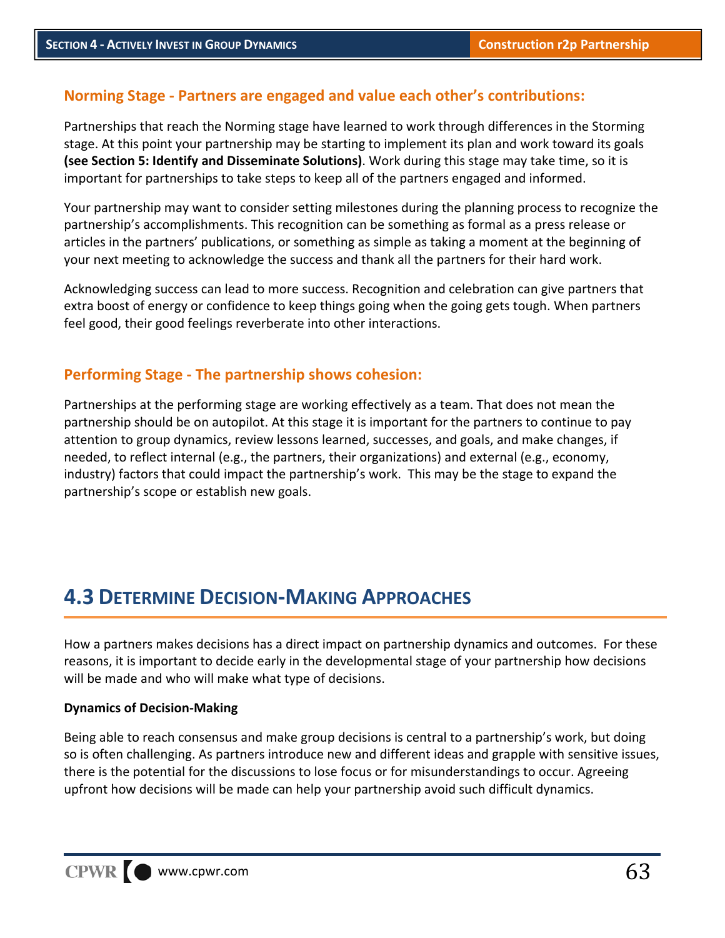# **Norming Stage ‐ Partners are engaged and value each other's contributions:**

Partnerships that reach the Norming stage have learned to work through differences in the Storming stage. At this point your partnership may be starting to implement its plan and work toward its goals **(see Section 5: Identify and Disseminate Solutions)**. Work during this stage may take time, so it is important for partnerships to take steps to keep all of the partners engaged and informed.

Your partnership may want to consider setting milestones during the planning process to recognize the partnership's accomplishments. This recognition can be something as formal as a press release or articles in the partners' publications, or something as simple as taking a moment at the beginning of your next meeting to acknowledge the success and thank all the partners for their hard work.

Acknowledging success can lead to more success. Recognition and celebration can give partners that extra boost of energy or confidence to keep things going when the going gets tough. When partners feel good, their good feelings reverberate into other interactions.

### **Performing Stage ‐ The partnership shows cohesion:**

Partnerships at the performing stage are working effectively as a team. That does not mean the partnership should be on autopilot. At this stage it is important for the partners to continue to pay attention to group dynamics, review lessons learned, successes, and goals, and make changes, if needed, to reflect internal (e.g., the partners, their organizations) and external (e.g., economy, industry) factors that could impact the partnership's work. This may be the stage to expand the partnership's scope or establish new goals.

# **4.3 DETERMINE DECISION‐MAKING APPROACHES**

How a partners makes decisions has a direct impact on partnership dynamics and outcomes. For these reasons, it is important to decide early in the developmental stage of your partnership how decisions will be made and who will make what type of decisions.

#### **Dynamics of Decision‐Making**

Being able to reach consensus and make group decisions is central to a partnership's work, but doing so is often challenging. As partners introduce new and different ideas and grapple with sensitive issues, there is the potential for the discussions to lose focus or for misunderstandings to occur. Agreeing upfront how decisions will be made can help your partnership avoid such difficult dynamics.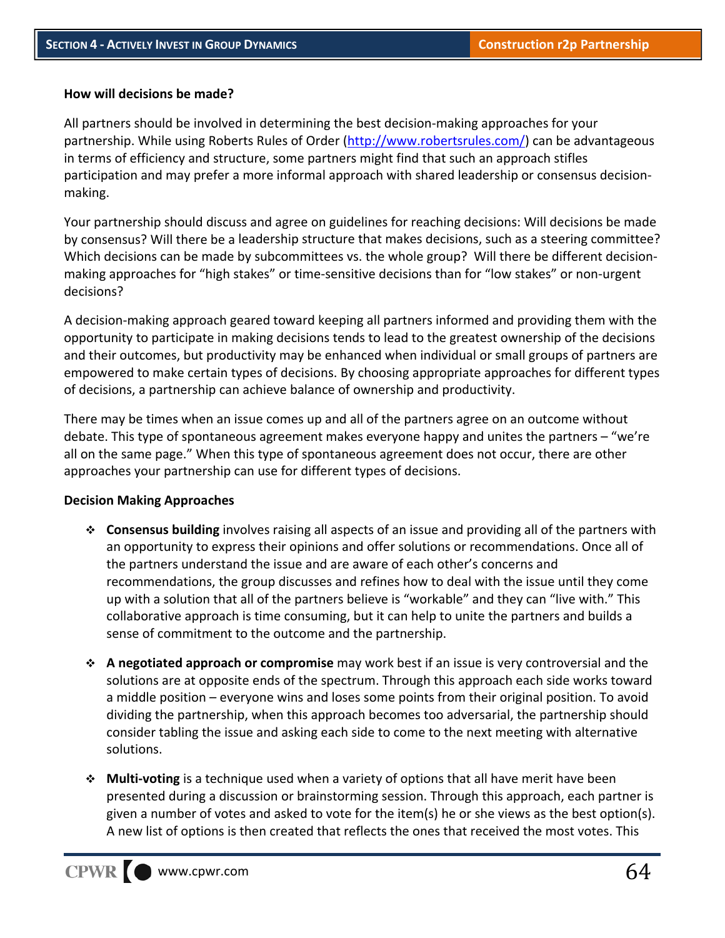#### **How will decisions be made?**

All partners should be involved in determining the best decision‐making approaches for your partnership. While using Roberts Rules of Order (http://www.robertsrules.com/) can be advantageous in terms of efficiency and structure, some partners might find that such an approach stifles participation and may prefer a more informal approach with shared leadership or consensus decision‐ making.

Your partnership should discuss and agree on guidelines for reaching decisions: Will decisions be made by consensus? Will there be a leadership structure that makes decisions, such as a steering committee? Which decisions can be made by subcommittees vs. the whole group? Will there be different decisionmaking approaches for "high stakes" or time‐sensitive decisions than for "low stakes" or non‐urgent decisions?

A decision‐making approach geared toward keeping all partners informed and providing them with the opportunity to participate in making decisions tends to lead to the greatest ownership of the decisions and their outcomes, but productivity may be enhanced when individual or small groups of partners are empowered to make certain types of decisions. By choosing appropriate approaches for different types of decisions, a partnership can achieve balance of ownership and productivity.

There may be times when an issue comes up and all of the partners agree on an outcome without debate. This type of spontaneous agreement makes everyone happy and unites the partners – "we're all on the same page." When this type of spontaneous agreement does not occur, there are other approaches your partnership can use for different types of decisions.

#### **Decision Making Approaches**

- **Consensus building** involves raising all aspects of an issue and providing all of the partners with an opportunity to express their opinions and offer solutions or recommendations. Once all of the partners understand the issue and are aware of each other's concerns and recommendations, the group discusses and refines how to deal with the issue until they come up with a solution that all of the partners believe is "workable" and they can "live with." This collaborative approach is time consuming, but it can help to unite the partners and builds a sense of commitment to the outcome and the partnership.
- **A negotiated approach or compromise** may work best if an issue is very controversial and the solutions are at opposite ends of the spectrum. Through this approach each side works toward a middle position – everyone wins and loses some points from their original position. To avoid dividing the partnership, when this approach becomes too adversarial, the partnership should consider tabling the issue and asking each side to come to the next meeting with alternative solutions.
- **Multi‐voting** is a technique used when a variety of options that all have merit have been presented during a discussion or brainstorming session. Through this approach, each partner is given a number of votes and asked to vote for the item(s) he or she views as the best option(s). A new list of options is then created that reflects the ones that received the most votes. This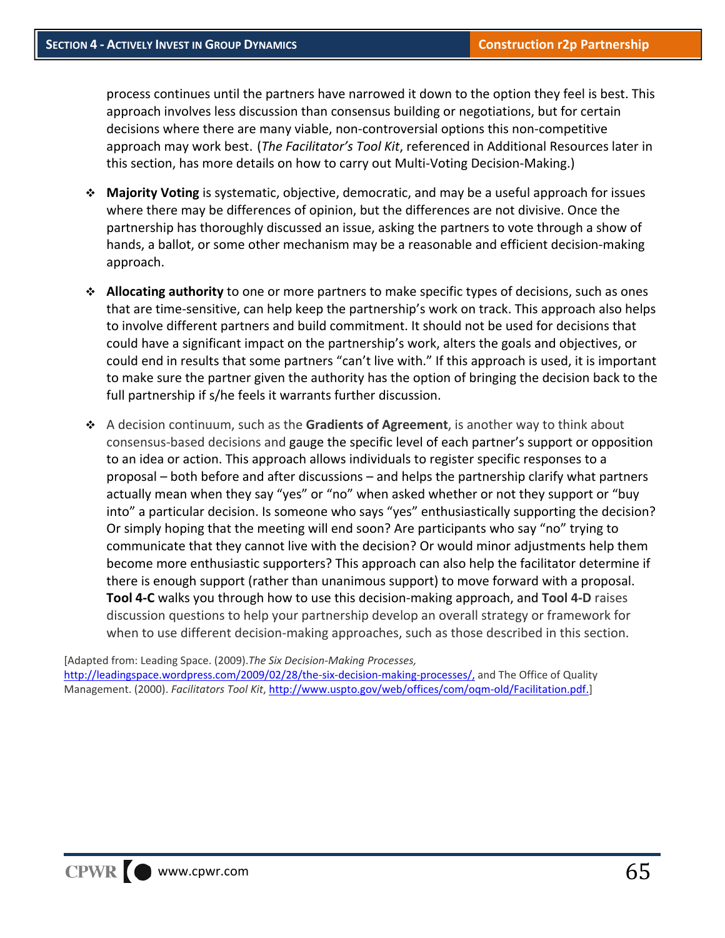process continues until the partners have narrowed it down to the option they feel is best. This approach involves less discussion than consensus building or negotiations, but for certain decisions where there are many viable, non‐controversial options this non‐competitive approach may work best. (*The Facilitator's Tool Kit*, referenced in Additional Resources later in this section, has more details on how to carry out Multi‐Voting Decision‐Making.)

- **Majority Voting** is systematic, objective, democratic, and may be a useful approach for issues where there may be differences of opinion, but the differences are not divisive. Once the partnership has thoroughly discussed an issue, asking the partners to vote through a show of hands, a ballot, or some other mechanism may be a reasonable and efficient decision‐making approach.
- **Allocating authority** to one or more partners to make specific types of decisions, such as ones that are time‐sensitive, can help keep the partnership's work on track. This approach also helps to involve different partners and build commitment. It should not be used for decisions that could have a significant impact on the partnership's work, alters the goals and objectives, or could end in results that some partners "can't live with." If this approach is used, it is important to make sure the partner given the authority has the option of bringing the decision back to the full partnership if s/he feels it warrants further discussion.
- A decision continuum, such as the **Gradients of Agreement**, is another way to think about consensus‐based decisions and gauge the specific level of each partner's support or opposition to an idea or action. This approach allows individuals to register specific responses to a proposal – both before and after discussions – and helps the partnership clarify what partners actually mean when they say "yes" or "no" when asked whether or not they support or "buy into" a particular decision. Is someone who says "yes" enthusiastically supporting the decision? Or simply hoping that the meeting will end soon? Are participants who say "no" trying to communicate that they cannot live with the decision? Or would minor adjustments help them become more enthusiastic supporters? This approach can also help the facilitator determine if there is enough support (rather than unanimous support) to move forward with a proposal. **Tool 4‐C** walks you through how to use this decision‐making approach, and **Tool 4‐D** raises discussion questions to help your partnership develop an overall strategy or framework for when to use different decision-making approaches, such as those described in this section.

[Adapted from: Leading Space. (2009).*The Six Decision‐Making Processes,* http://leadingspace.wordpress.com/2009/02/28/the-six-decision-making-processes/, and The Office of Quality Management. (2000). *Facilitators Tool Kit*, http://www.uspto.gov/web/offices/com/oqm‐old/Facilitation.pdf.]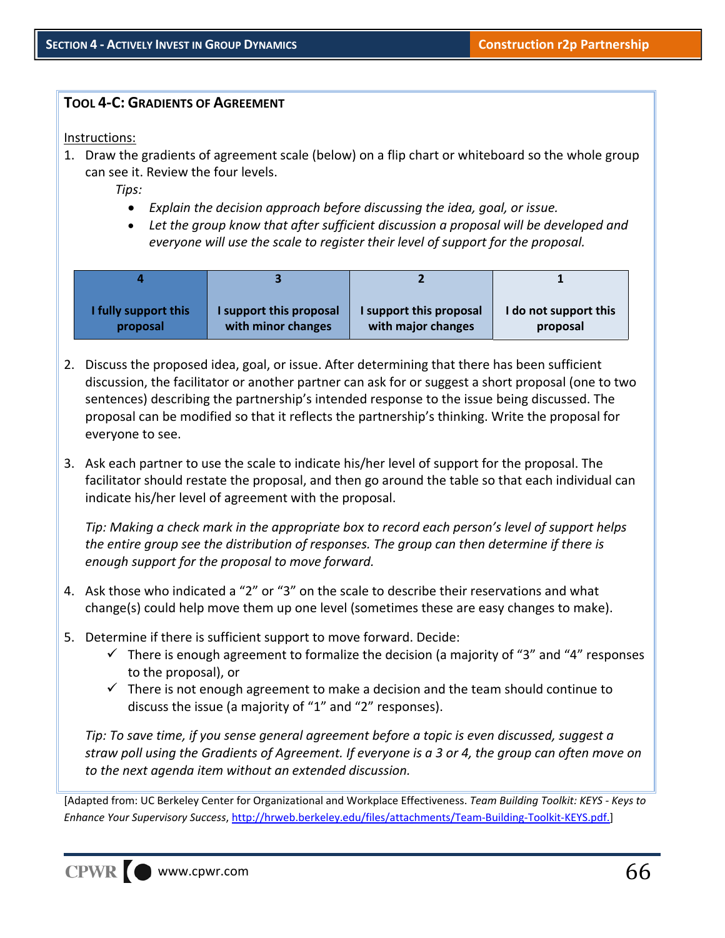#### **TOOL 4‐C: GRADIENTS OF AGREEMENT**

#### Instructions:

1. Draw the gradients of agreement scale (below) on a flip chart or whiteboard so the whole group can see it. Review the four levels.

*Tips:* 

- *Explain the decision approach before discussing the idea, goal, or issue.*
- *Let the group know that after sufficient discussion a proposal will be developed and everyone will use the scale to register their level of support for the proposal.*

| I fully support this | I support this proposal | I support this proposal | I do not support this |
|----------------------|-------------------------|-------------------------|-----------------------|
| proposal             | with minor changes      | with major changes      | proposal              |

- 2. Discuss the proposed idea, goal, or issue. After determining that there has been sufficient discussion, the facilitator or another partner can ask for or suggest a short proposal (one to two sentences) describing the partnership's intended response to the issue being discussed. The proposal can be modified so that it reflects the partnership's thinking. Write the proposal for everyone to see.
- 3. Ask each partner to use the scale to indicate his/her level of support for the proposal. The facilitator should restate the proposal, and then go around the table so that each individual can indicate his/her level of agreement with the proposal.

*Tip: Making a check mark in the appropriate box to record each person's level of support helps the entire group see the distribution of responses. The group can then determine if there is enough support for the proposal to move forward.*

- 4. Ask those who indicated a "2" or "3" on the scale to describe their reservations and what change(s) could help move them up one level (sometimes these are easy changes to make).
- 5. Determine if there is sufficient support to move forward. Decide:
	- $\checkmark$  There is enough agreement to formalize the decision (a majority of "3" and "4" responses to the proposal), or
	- $\checkmark$  There is not enough agreement to make a decision and the team should continue to discuss the issue (a majority of "1" and "2" responses).

*Tip: To save time, if you sense general agreement before a topic is even discussed, suggest a* straw poll using the Gradients of Agreement. If everyone is a 3 or 4, the group can often move on *to the next agenda item without an extended discussion.*

[Adapted from: UC Berkeley Center for Organizational and Workplace Effectiveness. *Team Building Toolkit: KEYS ‐ Keys to Enhance Your Supervisory Success*, http://hrweb.berkeley.edu/files/attachments/Team‐Building‐Toolkit‐KEYS.pdf.]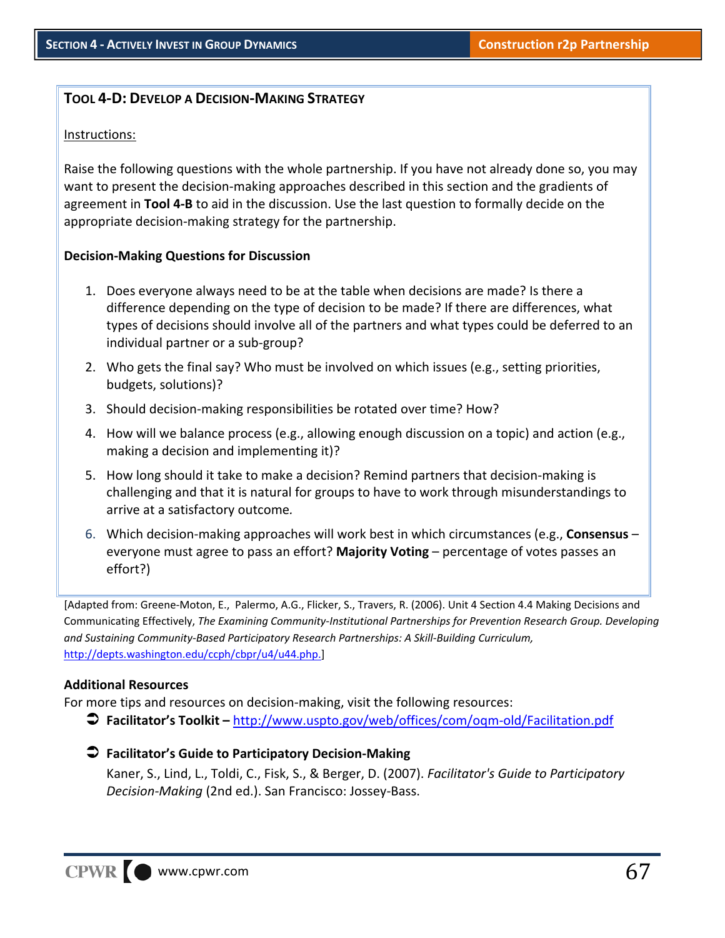### **TOOL 4‐D: DEVELOP A DECISION‐MAKING STRATEGY**

#### Instructions:

Raise the following questions with the whole partnership. If you have not already done so, you may want to present the decision‐making approaches described in this section and the gradients of agreement in **Tool 4‐B** to aid in the discussion. Use the last question to formally decide on the appropriate decision‐making strategy for the partnership.

#### **Decision‐Making Questions for Discussion**

- 1. Does everyone always need to be at the table when decisions are made? Is there a difference depending on the type of decision to be made? If there are differences, what types of decisions should involve all of the partners and what types could be deferred to an individual partner or a sub‐group?
- 2. Who gets the final say? Who must be involved on which issues (e.g., setting priorities, budgets, solutions)?
- 3. Should decision‐making responsibilities be rotated over time? How?
- 4. How will we balance process (e.g., allowing enough discussion on a topic) and action (e.g., making a decision and implementing it)?
- 5. How long should it take to make a decision? Remind partners that decision-making is challenging and that it is natural for groups to have to work through misunderstandings to arrive at a satisfactory outcome*.*
- 6. Which decision‐making approaches will work best in which circumstances (e.g., **Consensus** everyone must agree to pass an effort? **Majority Voting** – percentage of votes passes an effort?)

[Adapted from: Greene‐Moton, E., Palermo, A.G., Flicker, S., Travers, R. (2006). Unit 4 Section 4.4 Making Decisions and Communicating Effectively, *The Examining Community‐Institutional Partnerships for Prevention Research Group. Developing and Sustaining Community‐Based Participatory Research Partnerships: A Skill‐Building Curriculum,* http://depts.washington.edu/ccph/cbpr/u4/u44.php.]

#### **Additional Resources**

For more tips and resources on decision-making, visit the following resources:

**Facilitator's Toolkit –** http://www.uspto.gov/web/offices/com/oqm‐old/Facilitation.pdf

#### **Facilitator's Guide to Participatory Decision‐Making**

Kaner, S., Lind, L., Toldi, C., Fisk, S., & Berger, D. (2007). *Facilitator's Guide to Participatory Decision‐Making* (2nd ed.). San Francisco: Jossey‐Bass.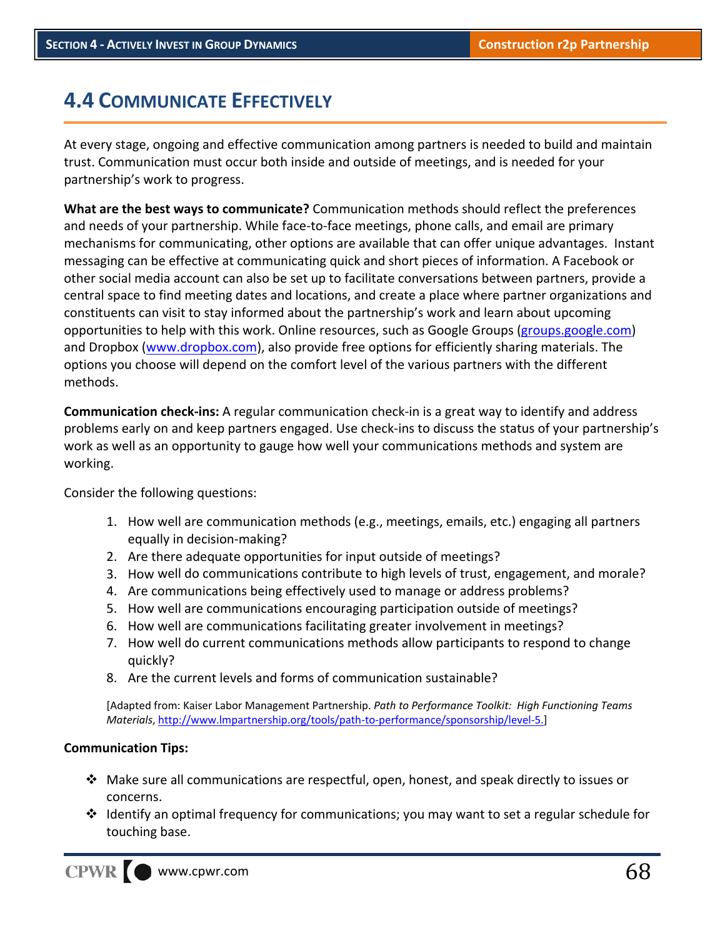# **4.4 COMMUNICATE EFFECTIVELY**

At every stage, ongoing and effective communication among partners is needed to build and maintain trust. Communication must occur both inside and outside of meetings, and is needed for your partnership's work to progress.

**What are the best ways to communicate?** Communication methods should reflect the preferences and needs of your partnership. While face-to-face meetings, phone calls, and email are primary mechanisms for communicating, other options are available that can offer unique advantages. Instant messaging can be effective at communicating quick and short pieces of information. A Facebook or other social media account can also be set up to facilitate conversations between partners, provide a central space to find meeting dates and locations, and create a place where partner organizations and constituents can visit to stay informed about the partnership's work and learn about upcoming opportunities to help with this work. Online resources, such as Google Groups (groups.google.com) and Dropbox (www.dropbox.com), also provide free options for efficiently sharing materials. The options you choose will depend on the comfort level of the various partners with the different methods.

**Communication check‐ins:** A regular communication check‐in is a great way to identify and address problems early on and keep partners engaged. Use check-ins to discuss the status of your partnership's work as well as an opportunity to gauge how well your communications methods and system are working.

Consider the following questions:

- 1. How well are communication methods (e.g., meetings, emails, etc.) engaging all partners equally in decision‐making?
- 2. Are there adequate opportunities for input outside of meetings?
- 3. How well do communications contribute to high levels of trust, engagement, and morale?
- 4. Are communications being effectively used to manage or address problems?
- 5. How well are communications encouraging participation outside of meetings?
- 6. How well are communications facilitating greater involvement in meetings?
- 7. How well do current communications methods allow participants to respond to change quickly?
- 8. Are the current levels and forms of communication sustainable?

[Adapted from: Kaiser Labor Management Partnership. *Path to Performance Toolkit: High Functioning Teams Materials*, http://www.lmpartnership.org/tools/path‐to‐performance/sponsorship/level‐5.]

#### **Communication Tips:**

- $\clubsuit$  Make sure all communications are respectful, open, honest, and speak directly to issues or concerns.
- $\cdot \cdot$  Identify an optimal frequency for communications; you may want to set a regular schedule for touching base.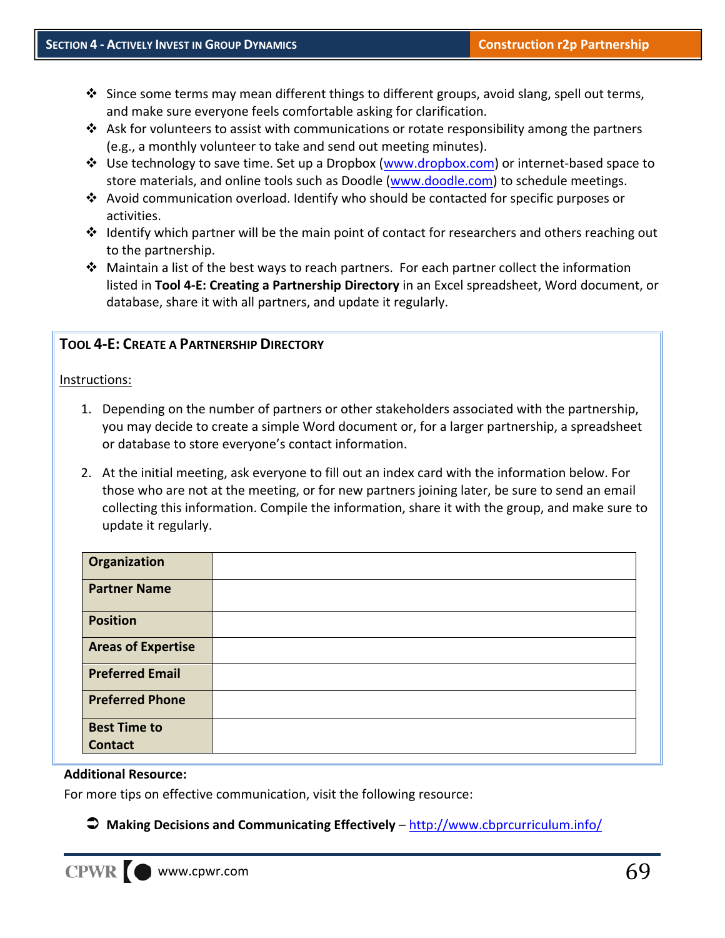- $\clubsuit$  Since some terms may mean different things to different groups, avoid slang, spell out terms, and make sure everyone feels comfortable asking for clarification.
- $\clubsuit$  Ask for volunteers to assist with communications or rotate responsibility among the partners (e.g., a monthly volunteer to take and send out meeting minutes).
- Use technology to save time. Set up a Dropbox (www.dropbox.com) or internet‐based space to store materials, and online tools such as Doodle (www.doodle.com) to schedule meetings.
- $\triangle$  Avoid communication overload. Identify who should be contacted for specific purposes or activities.
- $\div$  Identify which partner will be the main point of contact for researchers and others reaching out to the partnership.
- $\cdot \cdot$  Maintain a list of the best ways to reach partners. For each partner collect the information listed in **Tool 4‐E: Creating a Partnership Directory** in an Excel spreadsheet, Word document, or database, share it with all partners, and update it regularly.

### **TOOL 4‐E: CREATE A PARTNERSHIP DIRECTORY**

#### Instructions:

- 1. Depending on the number of partners or other stakeholders associated with the partnership, you may decide to create a simple Word document or, for a larger partnership, a spreadsheet or database to store everyone's contact information.
- 2. At the initial meeting, ask everyone to fill out an index card with the information below. For those who are not at the meeting, or for new partners joining later, be sure to send an email collecting this information. Compile the information, share it with the group, and make sure to update it regularly.

| Organization              |  |
|---------------------------|--|
| <b>Partner Name</b>       |  |
| <b>Position</b>           |  |
| <b>Areas of Expertise</b> |  |
| <b>Preferred Email</b>    |  |
| <b>Preferred Phone</b>    |  |
| <b>Best Time to</b>       |  |
| <b>Contact</b>            |  |

#### **Additional Resource:**

For more tips on effective communication, visit the following resource:

### **Making Decisions and Communicating Effectively** – http://www.cbprcurriculum.info/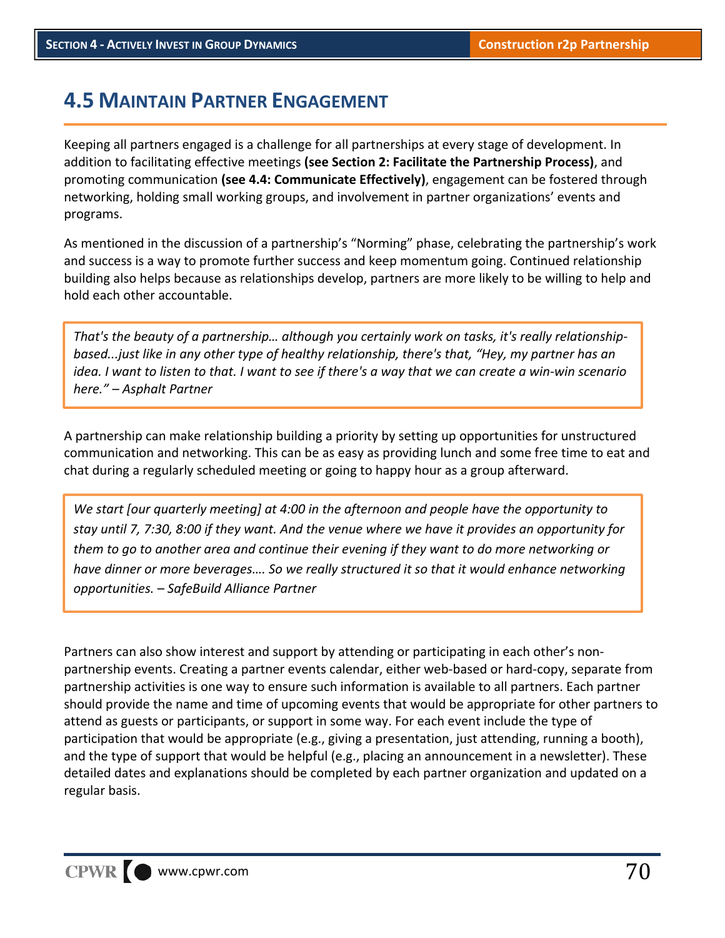# **4.5 MAINTAIN PARTNER ENGAGEMENT**

Keeping all partners engaged is a challenge for all partnerships at every stage of development. In addition to facilitating effective meetings **(see Section 2: Facilitate the Partnership Process)**, and promoting communication **(see 4.4: Communicate Effectively)**, engagement can be fostered through networking, holding small working groups, and involvement in partner organizations' events and programs.

As mentioned in the discussion of a partnership's "Norming" phase, celebrating the partnership's work and success is a way to promote further success and keep momentum going. Continued relationship building also helps because as relationships develop, partners are more likely to be willing to help and hold each other accountable.

*That's the beauty of a partnership… although you certainly work on tasks, it's really relationship‐ based...just like in any other type of healthy relationship, there's that, "Hey, my partner has an* idea. I want to listen to that. I want to see if there's a way that we can create a win-win scenario *here." – Asphalt Partner*

A partnership can make relationship building a priority by setting up opportunities for unstructured communication and networking. This can be as easy as providing lunch and some free time to eat and chat during a regularly scheduled meeting or going to happy hour as a group afterward.

*We start [our quarterly meeting] at 4:00 in the afternoon and people have the opportunity to* stay until 7, 7:30, 8:00 if they want. And the venue where we have it provides an opportunity for *them to go to another area and continue their evening if they want to do more networking or have dinner or more beverages…. So we really structured it so that it would enhance networking opportunities. – SafeBuild Alliance Partner*

Partners can also show interest and support by attending or participating in each other's non‐ partnership events. Creating a partner events calendar, either web‐based or hard‐copy, separate from partnership activities is one way to ensure such information is available to all partners. Each partner should provide the name and time of upcoming events that would be appropriate for other partners to attend as guests or participants, or support in some way. For each event include the type of participation that would be appropriate (e.g., giving a presentation, just attending, running a booth), and the type of support that would be helpful (e.g., placing an announcement in a newsletter). These detailed dates and explanations should be completed by each partner organization and updated on a regular basis.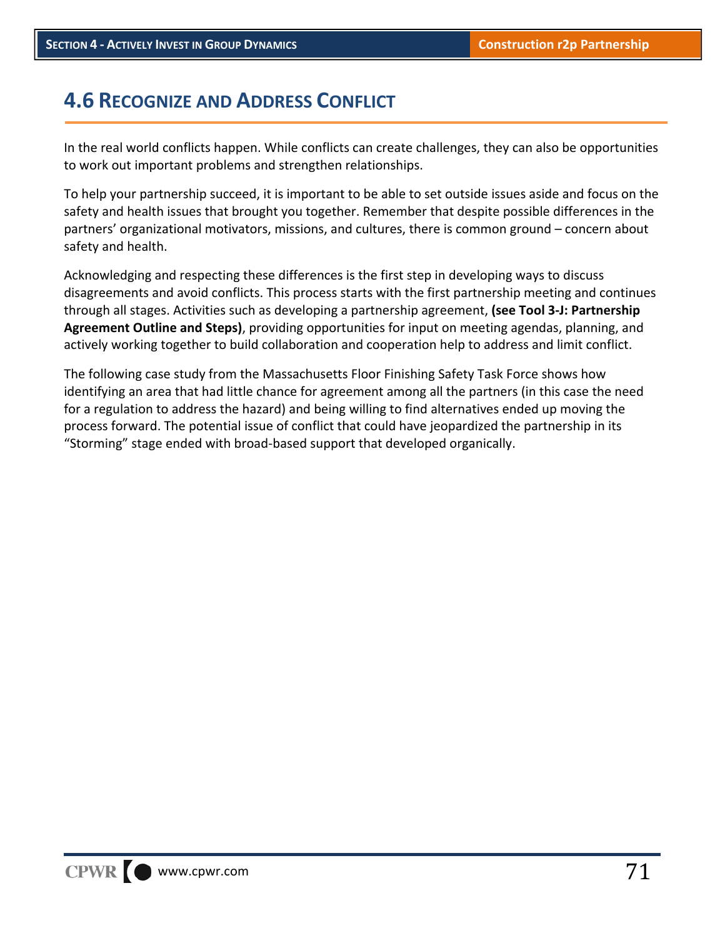# **4.6 RECOGNIZE AND ADDRESS CONFLICT**

In the real world conflicts happen. While conflicts can create challenges, they can also be opportunities to work out important problems and strengthen relationships.

To help your partnership succeed, it is important to be able to set outside issues aside and focus on the safety and health issues that brought you together. Remember that despite possible differences in the partners' organizational motivators, missions, and cultures, there is common ground – concern about safety and health.

Acknowledging and respecting these differences is the first step in developing ways to discuss disagreements and avoid conflicts. This process starts with the first partnership meeting and continues through all stages. Activities such as developing a partnership agreement, **(see Tool 3‐J: Partnership Agreement Outline and Steps)**, providing opportunities for input on meeting agendas, planning, and actively working together to build collaboration and cooperation help to address and limit conflict.

The following case study from the Massachusetts Floor Finishing Safety Task Force shows how identifying an area that had little chance for agreement among all the partners (in this case the need for a regulation to address the hazard) and being willing to find alternatives ended up moving the process forward. The potential issue of conflict that could have jeopardized the partnership in its "Storming" stage ended with broad‐based support that developed organically.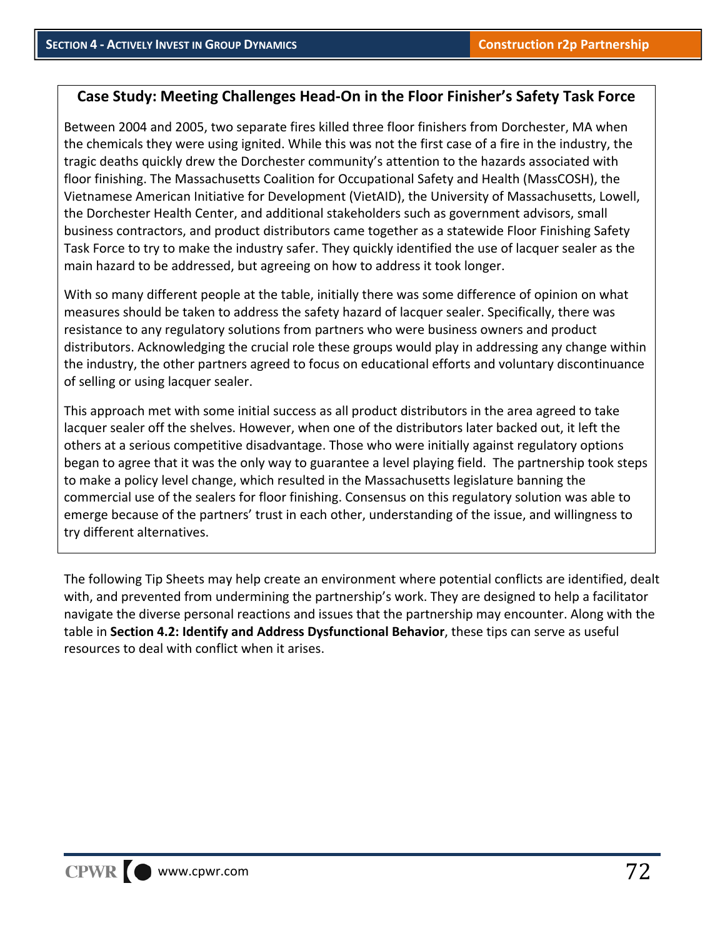# **Case Study: Meeting Challenges Head‐On in the Floor Finisher's Safety Task Force**

Between 2004 and 2005, two separate fires killed three floor finishers from Dorchester, MA when the chemicals they were using ignited. While this was not the first case of a fire in the industry, the tragic deaths quickly drew the Dorchester community's attention to the hazards associated with floor finishing. The Massachusetts Coalition for Occupational Safety and Health (MassCOSH), the Vietnamese American Initiative for Development (VietAID), the University of Massachusetts, Lowell, the Dorchester Health Center, and additional stakeholders such as government advisors, small business contractors, and product distributors came together as a statewide Floor Finishing Safety Task Force to try to make the industry safer. They quickly identified the use of lacquer sealer as the main hazard to be addressed, but agreeing on how to address it took longer.

With so many different people at the table, initially there was some difference of opinion on what measures should be taken to address the safety hazard of lacquer sealer. Specifically, there was resistance to any regulatory solutions from partners who were business owners and product distributors. Acknowledging the crucial role these groups would play in addressing any change within the industry, the other partners agreed to focus on educational efforts and voluntary discontinuance of selling or using lacquer sealer.

This approach met with some initial success as all product distributors in the area agreed to take lacquer sealer off the shelves. However, when one of the distributors later backed out, it left the others at a serious competitive disadvantage. Those who were initially against regulatory options began to agree that it was the only way to guarantee a level playing field. The partnership took steps to make a policy level change, which resulted in the Massachusetts legislature banning the commercial use of the sealers for floor finishing. Consensus on this regulatory solution was able to emerge because of the partners' trust in each other, understanding of the issue, and willingness to try different alternatives.

The following Tip Sheets may help create an environment where potential conflicts are identified, dealt with, and prevented from undermining the partnership's work. They are designed to help a facilitator navigate the diverse personal reactions and issues that the partnership may encounter. Along with the table in **Section 4.2: Identify and Address Dysfunctional Behavior**, these tips can serve as useful resources to deal with conflict when it arises.